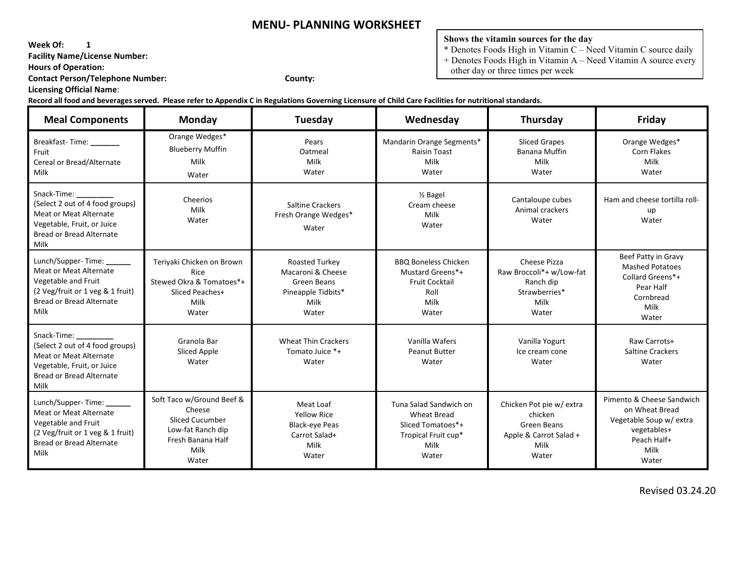**Week Of: 1**

 **Facility Name/License Number:** 

 **Hours of Operation:** 

 **Contact Person/Telephone Number: County:**

 **Licensing Official Name**:

#### **Shows the vitamin sources for the day**

 $*$  Denotes Foods High in Vitamin C – Need Vitamin C source daily

+ Denotes Foods High in Vitamin A – Need Vitamin A source every

other day or three times per week

 **Record all food and beverages served. Please refer to Appendix C in Regulations Governing Licensure of Child Care Facilities for nutritional standards.** 

| <b>Meal Components</b>                                                                                                                                           | Monday                                                                                                                   | Tuesday                                                                                    | Wednesday                                                                                                 | Thursday                                                                                      | Friday                                                                                                                |
|------------------------------------------------------------------------------------------------------------------------------------------------------------------|--------------------------------------------------------------------------------------------------------------------------|--------------------------------------------------------------------------------------------|-----------------------------------------------------------------------------------------------------------|-----------------------------------------------------------------------------------------------|-----------------------------------------------------------------------------------------------------------------------|
| Breakfast-Time: _______<br>Fruit<br>Cereal or Bread/Alternate<br>Milk                                                                                            | Orange Wedges*<br><b>Blueberry Muffin</b><br>Milk<br>Water                                                               | Pears<br>Oatmeal<br>Milk<br>Water                                                          | Mandarin Orange Segments*<br>Raisin Toast<br>Milk<br>Water                                                | <b>Sliced Grapes</b><br>Banana Muffin<br>Milk<br>Water                                        | Orange Wedges*<br>Corn Flakes<br>Milk<br>Water                                                                        |
| Snack-Time:<br>(Select 2 out of 4 food groups)<br><b>Meat or Meat Alternate</b><br>Vegetable, Fruit, or Juice<br>Bread or Bread Alternate<br>Milk                | Cheerios<br>Milk<br>Water                                                                                                | <b>Saltine Crackers</b><br>Fresh Orange Wedges*<br>Water                                   | 1/ <sub>2</sub> Bagel<br>Cream cheese<br>Milk<br>Water                                                    | Cantaloupe cubes<br>Animal crackers<br>Water                                                  | Ham and cheese tortilla roll-<br>up<br>Water                                                                          |
| Lunch/Supper-Time: ______<br><b>Meat or Meat Alternate</b><br>Vegetable and Fruit<br>(2 Veg/fruit or 1 veg & 1 fruit)<br>Bread or Bread Alternate<br>Milk        | Teriyaki Chicken on Brown<br>Rice<br>Stewed Okra & Tomatoes*+<br>Sliced Peaches+<br>Milk<br>Water                        | Roasted Turkey<br>Macaroni & Cheese<br>Green Beans<br>Pineapple Tidbits*<br>Milk<br>Water  | <b>BBQ Boneless Chicken</b><br>Mustard Greens*+<br><b>Fruit Cocktail</b><br>Roll<br>Milk<br>Water         | Cheese Pizza<br>Raw Broccoli*+ w/Low-fat<br>Ranch dip<br>Strawberries*<br>Milk<br>Water       | Beef Patty in Gravy<br><b>Mashed Potatoes</b><br>Collard Greens*+<br>Pear Half<br>Cornbread<br>Milk<br>Water          |
| Snack-Time:<br>(Select 2 out of 4 food groups)<br>Meat or Meat Alternate<br>Vegetable, Fruit, or Juice<br>Bread or Bread Alternate<br>Milk                       | Granola Bar<br>Sliced Apple<br>Water                                                                                     | <b>Wheat Thin Crackers</b><br>Tomato Juice *+<br>Water                                     | Vanilla Wafers<br><b>Peanut Butter</b><br>Water                                                           | Vanilla Yogurt<br>Ice cream cone<br>Water                                                     | Raw Carrots+<br><b>Saltine Crackers</b><br>Water                                                                      |
| Lunch/Supper-Time: ______<br><b>Meat or Meat Alternate</b><br>Vegetable and Fruit<br>(2 Veg/fruit or 1 veg & 1 fruit)<br><b>Bread or Bread Alternate</b><br>Milk | Soft Taco w/Ground Beef &<br>Cheese<br><b>Sliced Cucumber</b><br>Low-fat Ranch dip<br>Fresh Banana Half<br>Milk<br>Water | Meat Loaf<br><b>Yellow Rice</b><br><b>Black-eye Peas</b><br>Carrot Salad+<br>Milk<br>Water | Tuna Salad Sandwich on<br><b>Wheat Bread</b><br>Sliced Tomatoes*+<br>Tropical Fruit cup*<br>Milk<br>Water | Chicken Pot pie w/ extra<br>chicken<br>Green Beans<br>Apple & Carrot Salad +<br>Milk<br>Water | Pimento & Cheese Sandwich<br>on Wheat Bread<br>Vegetable Soup w/ extra<br>vegetables+<br>Peach Half+<br>Milk<br>Water |

Revised 03.24.20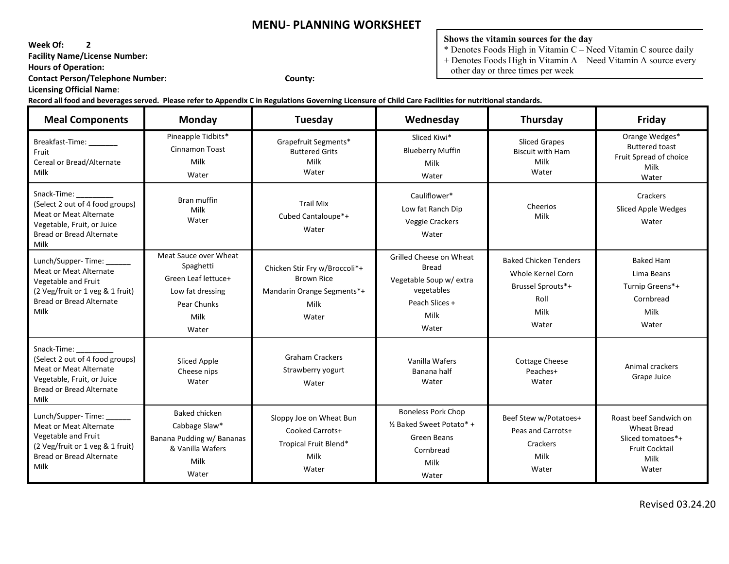**Week Of: 2**

 **Facility Name/License Number:** 

 **Hours of Operation:** 

 **Contact Person/Telephone Number: County:**

 **Licensing Official Name**:

**Shows the vitamin sources for the day**

 $*$  Denotes Foods High in Vitamin C – Need Vitamin C source daily + Denotes Foods High in Vitamin A – Need Vitamin A source every

other day or three times per week

| <b>Meal Components</b>                                                                                                                                    | Monday                                                                                                        | Tuesday                                                                                           | Wednesday                                                                                                       | Thursday                                                                                        | Friday                                                                                                      |
|-----------------------------------------------------------------------------------------------------------------------------------------------------------|---------------------------------------------------------------------------------------------------------------|---------------------------------------------------------------------------------------------------|-----------------------------------------------------------------------------------------------------------------|-------------------------------------------------------------------------------------------------|-------------------------------------------------------------------------------------------------------------|
| Breakfast-Time: _______<br>Fruit<br>Cereal or Bread/Alternate<br>Milk                                                                                     | Pineapple Tidbits*<br>Cinnamon Toast<br>Milk<br>Water                                                         | Grapefruit Segments*<br><b>Buttered Grits</b><br>Milk<br>Water                                    | Sliced Kiwi*<br><b>Blueberry Muffin</b><br>Milk<br>Water                                                        | <b>Sliced Grapes</b><br><b>Biscuit with Ham</b><br>Milk<br>Water                                | Orange Wedges*<br><b>Buttered toast</b><br>Fruit Spread of choice<br>Milk<br>Water                          |
| Snack-Time:<br>(Select 2 out of 4 food groups)<br><b>Meat or Meat Alternate</b><br>Vegetable, Fruit, or Juice<br><b>Bread or Bread Alternate</b><br>Milk  | Bran muffin<br>Milk<br>Water                                                                                  | <b>Trail Mix</b><br>Cubed Cantaloupe*+<br>Water                                                   | Cauliflower*<br>Low fat Ranch Dip<br>Veggie Crackers<br>Water                                                   | Cheerios<br>Milk                                                                                | Crackers<br>Sliced Apple Wedges<br>Water                                                                    |
| Lunch/Supper-Time:<br><b>Meat or Meat Alternate</b><br>Vegetable and Fruit<br>(2 Veg/fruit or 1 veg & 1 fruit)<br><b>Bread or Bread Alternate</b><br>Milk | Meat Sauce over Wheat<br>Spaghetti<br>Green Leaf lettuce+<br>Low fat dressing<br>Pear Chunks<br>Milk<br>Water | Chicken Stir Fry w/Broccoli*+<br><b>Brown Rice</b><br>Mandarin Orange Segments*+<br>Milk<br>Water | Grilled Cheese on Wheat<br>Bread<br>Vegetable Soup w/ extra<br>vegetables<br>Peach Slices +<br>Milk<br>Water    | <b>Baked Chicken Tenders</b><br>Whole Kernel Corn<br>Brussel Sprouts*+<br>Roll<br>Milk<br>Water | <b>Baked Ham</b><br>Lima Beans<br>Turnip Greens*+<br>Cornbread<br>Milk<br>Water                             |
| Snack-Time:<br>(Select 2 out of 4 food groups)<br><b>Meat or Meat Alternate</b><br>Vegetable, Fruit, or Juice<br><b>Bread or Bread Alternate</b><br>Milk  | Sliced Apple<br>Cheese nips<br>Water                                                                          | <b>Graham Crackers</b><br>Strawberry yogurt<br>Water                                              | Vanilla Wafers<br>Banana half<br>Water                                                                          | <b>Cottage Cheese</b><br>Peaches+<br>Water                                                      | Animal crackers<br>Grape Juice                                                                              |
| Lunch/Supper-Time:<br>Meat or Meat Alternate<br>Vegetable and Fruit<br>(2 Veg/fruit or 1 veg & 1 fruit)<br><b>Bread or Bread Alternate</b><br>Milk        | <b>Baked chicken</b><br>Cabbage Slaw*<br>Banana Pudding w/ Bananas<br>& Vanilla Wafers<br>Milk<br>Water       | Sloppy Joe on Wheat Bun<br>Cooked Carrots+<br>Tropical Fruit Blend*<br>Milk<br>Water              | <b>Boneless Pork Chop</b><br>1/ <sub>2</sub> Baked Sweet Potato* +<br>Green Beans<br>Cornbread<br>Milk<br>Water | Beef Stew w/Potatoes+<br>Peas and Carrots+<br>Crackers<br>Milk<br>Water                         | Roast beef Sandwich on<br><b>Wheat Bread</b><br>Sliced tomatoes*+<br><b>Fruit Cocktail</b><br>Milk<br>Water |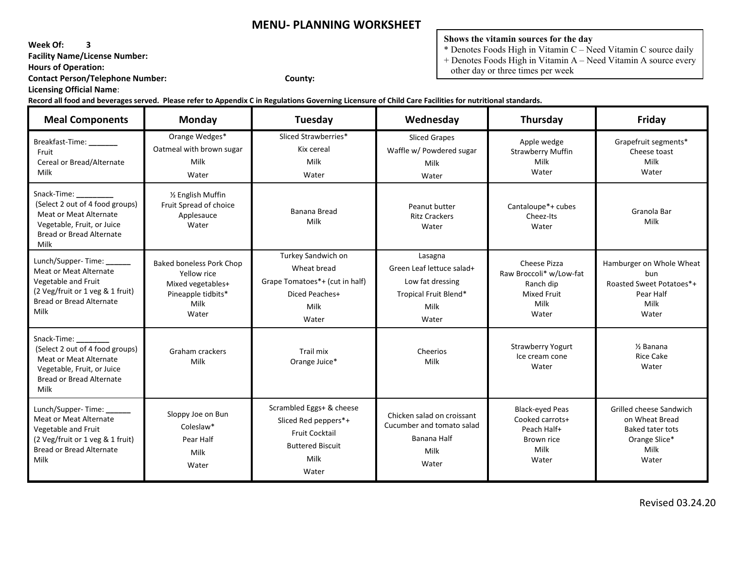**Week Of: 3**

 **Facility Name/License Number:** 

 **Hours of Operation:** 

 **Contact Person/Telephone Number: County:**

 **Licensing Official Name**:

**Shows the vitamin sources for the day**

 $*$  Denotes Foods High in Vitamin C – Need Vitamin C source daily

+ Denotes Foods High in Vitamin A – Need Vitamin A source every

other day or three times per week

| <b>Meal Components</b>                                                                                                                                   | <b>Monday</b>                                                                                              | Tuesday                                                                                                               | Wednesday                                                                                          | <b>Thursday</b>                                                                             | Friday                                                                                                 |
|----------------------------------------------------------------------------------------------------------------------------------------------------------|------------------------------------------------------------------------------------------------------------|-----------------------------------------------------------------------------------------------------------------------|----------------------------------------------------------------------------------------------------|---------------------------------------------------------------------------------------------|--------------------------------------------------------------------------------------------------------|
| Breakfast-Time: ______<br>Fruit<br>Cereal or Bread/Alternate<br>Milk                                                                                     | Orange Wedges*<br>Oatmeal with brown sugar<br>Milk<br>Water                                                | Sliced Strawberries*<br>Kix cereal<br>Milk<br>Water                                                                   | <b>Sliced Grapes</b><br>Waffle w/ Powdered sugar<br>Milk<br>Water                                  | Apple wedge<br><b>Strawberry Muffin</b><br>Milk<br>Water                                    | Grapefruit segments*<br>Cheese toast<br>Milk<br>Water                                                  |
| Snack-Time:<br>(Select 2 out of 4 food groups)<br><b>Meat or Meat Alternate</b><br>Vegetable, Fruit, or Juice<br><b>Bread or Bread Alternate</b><br>Milk | 1/2 English Muffin<br>Fruit Spread of choice<br>Applesauce<br>Water                                        | <b>Banana Bread</b><br>Milk                                                                                           | Peanut butter<br><b>Ritz Crackers</b><br>Water                                                     | Cantaloupe*+ cubes<br>Cheez-Its<br>Water                                                    | Granola Bar<br>Milk                                                                                    |
| Lunch/Supper-Time:<br><b>Meat or Meat Alternate</b><br>Vegetable and Fruit<br>(2 Veg/fruit or 1 veg & 1 fruit)<br>Bread or Bread Alternate<br>Milk       | <b>Baked boneless Pork Chop</b><br>Yellow rice<br>Mixed vegetables+<br>Pineapple tidbits*<br>Milk<br>Water | Turkey Sandwich on<br>Wheat bread<br>Grape Tomatoes*+ (cut in half)<br>Diced Peaches+<br>Milk<br>Water                | Lasagna<br>Green Leaf lettuce salad+<br>Low fat dressing<br>Tropical Fruit Blend*<br>Milk<br>Water | Cheese Pizza<br>Raw Broccoli* w/Low-fat<br>Ranch dip<br><b>Mixed Fruit</b><br>Milk<br>Water | Hamburger on Whole Wheat<br>bun<br>Roasted Sweet Potatoes*+<br>Pear Half<br>Milk<br>Water              |
| Snack-Time:<br>(Select 2 out of 4 food groups)<br><b>Meat or Meat Alternate</b><br>Vegetable, Fruit, or Juice<br><b>Bread or Bread Alternate</b><br>Milk | Graham crackers<br>Milk                                                                                    | Trail mix<br>Orange Juice*                                                                                            | Cheerios<br>Milk                                                                                   | <b>Strawberry Yogurt</b><br>Ice cream cone<br>Water                                         | $\frac{1}{2}$ Banana<br><b>Rice Cake</b><br>Water                                                      |
| Lunch/Supper-Time:<br><b>Meat or Meat Alternate</b><br>Vegetable and Fruit<br>(2 Veg/fruit or 1 veg & 1 fruit)<br>Bread or Bread Alternate<br>Milk       | Sloppy Joe on Bun<br>Coleslaw*<br>Pear Half<br>Milk<br>Water                                               | Scrambled Eggs+ & cheese<br>Sliced Red peppers*+<br><b>Fruit Cocktail</b><br><b>Buttered Biscuit</b><br>Milk<br>Water | Chicken salad on croissant<br>Cucumber and tomato salad<br>Banana Half<br>Milk<br>Water            | <b>Black-eyed Peas</b><br>Cooked carrots+<br>Peach Half+<br>Brown rice<br>Milk<br>Water     | Grilled cheese Sandwich<br>on Wheat Bread<br><b>Baked tater tots</b><br>Orange Slice*<br>Milk<br>Water |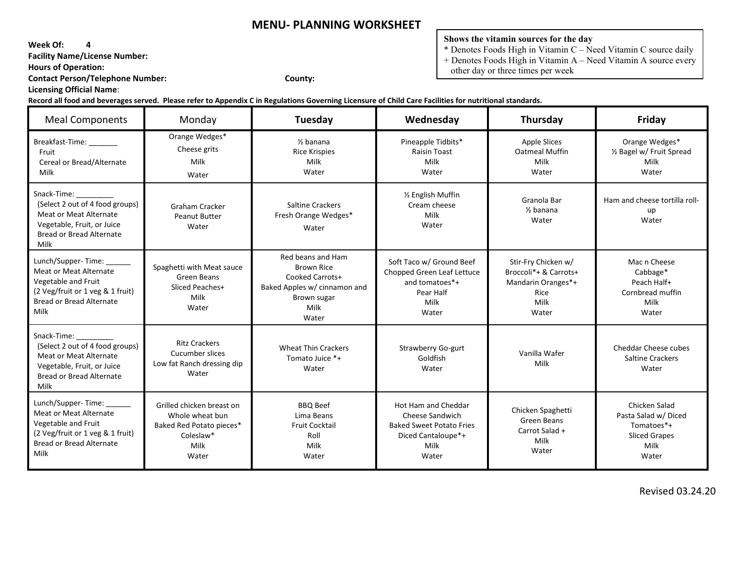**Week Of: 4**

 **Facility Name/License Number:** 

 **Hours of Operation:** 

 **Contact Person/Telephone Number: County:**

 **Licensing Official Name**:

#### **Shows the vitamin sources for the day**

 $*$  Denotes Foods High in Vitamin C – Need Vitamin C source daily

+ Denotes Foods High in Vitamin A – Need Vitamin A source every

other day or three times per week

| <b>Meal Components</b>                                                                                                                                    | Monday                                                                                                 | Tuesday                                                                                                                   | Wednesday                                                                                                        | Thursday                                                                                    | Friday                                                                                       |
|-----------------------------------------------------------------------------------------------------------------------------------------------------------|--------------------------------------------------------------------------------------------------------|---------------------------------------------------------------------------------------------------------------------------|------------------------------------------------------------------------------------------------------------------|---------------------------------------------------------------------------------------------|----------------------------------------------------------------------------------------------|
| Breakfast-Time:<br>Fruit<br>Cereal or Bread/Alternate<br>Milk                                                                                             | Orange Wedges*<br>Cheese grits<br>Milk<br>Water                                                        | $%$ banana<br><b>Rice Krispies</b><br>Milk<br>Water                                                                       | Pineapple Tidbits*<br><b>Raisin Toast</b><br>Milk<br>Water                                                       | <b>Apple Slices</b><br><b>Oatmeal Muffin</b><br>Milk<br>Water                               | Orange Wedges*<br>1/2 Bagel w/ Fruit Spread<br>Milk<br>Water                                 |
| Snack-Time:<br>(Select 2 out of 4 food groups)<br>Meat or Meat Alternate<br>Vegetable, Fruit, or Juice<br>Bread or Bread Alternate<br>Milk                | Graham Cracker<br><b>Peanut Butter</b><br>Water                                                        | <b>Saltine Crackers</b><br>Fresh Orange Wedges*<br>Water                                                                  | 1/2 English Muffin<br>Cream cheese<br>Milk<br>Water                                                              | Granola Bar<br>$\frac{1}{2}$ banana<br>Water                                                | Ham and cheese tortilla roll-<br>up<br>Water                                                 |
| Lunch/Supper-Time: ______<br><b>Meat or Meat Alternate</b><br>Vegetable and Fruit<br>(2 Veg/fruit or 1 veg & 1 fruit)<br>Bread or Bread Alternate<br>Milk | Spaghetti with Meat sauce<br>Green Beans<br>Sliced Peaches+<br>Milk<br>Water                           | Red beans and Ham<br><b>Brown Rice</b><br>Cooked Carrots+<br>Baked Apples w/ cinnamon and<br>Brown sugar<br>Milk<br>Water | Soft Taco w/ Ground Beef<br>Chopped Green Leaf Lettuce<br>and tomatoes*+<br>Pear Half<br>Milk<br>Water           | Stir-Fry Chicken w/<br>Broccoli*+ & Carrots+<br>Mandarin Oranges*+<br>Rice<br>Milk<br>Water | Mac n Cheese<br>Cabbage*<br>Peach Half+<br>Cornbread muffin<br>Milk<br>Water                 |
| Snack-Time:<br>(Select 2 out of 4 food groups)<br>Meat or Meat Alternate<br>Vegetable, Fruit, or Juice<br><b>Bread or Bread Alternate</b><br>Milk         | <b>Ritz Crackers</b><br>Cucumber slices<br>Low fat Ranch dressing dip<br>Water                         | <b>Wheat Thin Crackers</b><br>Tomato Juice *+<br>Water                                                                    | Strawberry Go-gurt<br>Goldfish<br>Water                                                                          | Vanilla Wafer<br>Milk                                                                       | Cheddar Cheese cubes<br><b>Saltine Crackers</b><br>Water                                     |
| Lunch/Supper-Time:<br>Meat or Meat Alternate<br>Vegetable and Fruit<br>(2 Veg/fruit or 1 veg & 1 fruit)<br>Bread or Bread Alternate<br>Milk               | Grilled chicken breast on<br>Whole wheat bun<br>Baked Red Potato pieces*<br>Coleslaw*<br>Milk<br>Water | <b>BBQ Beef</b><br>Lima Beans<br><b>Fruit Cocktail</b><br>Roll<br>Milk<br>Water                                           | Hot Ham and Cheddar<br>Cheese Sandwich<br><b>Baked Sweet Potato Fries</b><br>Diced Cantaloupe*+<br>Milk<br>Water | Chicken Spaghetti<br>Green Beans<br>Carrot Salad +<br>Milk<br>Water                         | Chicken Salad<br>Pasta Salad w/ Diced<br>Tomatoes*+<br><b>Sliced Grapes</b><br>Milk<br>Water |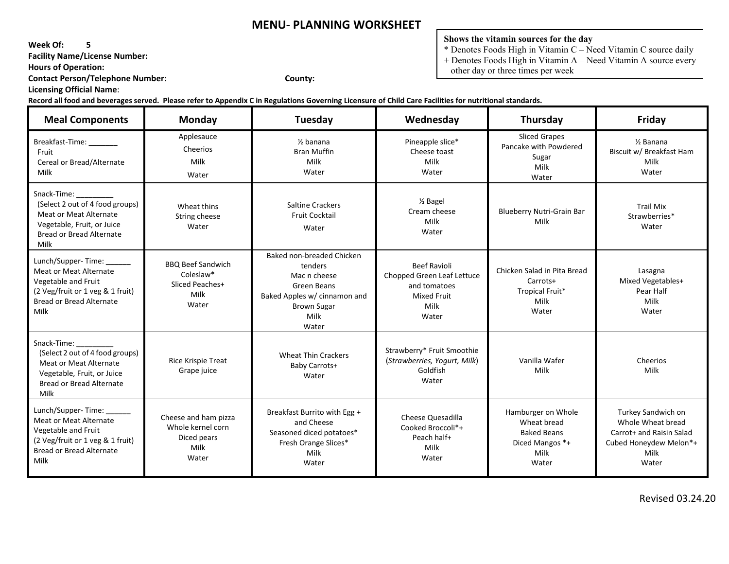**Week Of: 5**

 **Facility Name/License Number:** 

 **Hours of Operation:** 

 **Contact Person/Telephone Number: County:**

 **Licensing Official Name**:

**Shows the vitamin sources for the day**

 $*$  Denotes Foods High in Vitamin C – Need Vitamin C source daily + Denotes Foods High in Vitamin A – Need Vitamin A source every

other day or three times per week

| <b>Meal Components</b>                                                                                                                                    | Monday                                                                    | Tuesday                                                                                                                                    | Wednesday                                                                                                | Thursday                                                                                    | Friday                                                                                                         |
|-----------------------------------------------------------------------------------------------------------------------------------------------------------|---------------------------------------------------------------------------|--------------------------------------------------------------------------------------------------------------------------------------------|----------------------------------------------------------------------------------------------------------|---------------------------------------------------------------------------------------------|----------------------------------------------------------------------------------------------------------------|
| Breakfast-Time: ________<br>Fruit<br>Cereal or Bread/Alternate<br>Milk                                                                                    | Applesauce<br>Cheerios<br>Milk<br>Water                                   | $\frac{1}{2}$ banana<br><b>Bran Muffin</b><br>Milk<br>Water                                                                                | Pineapple slice*<br>Cheese toast<br>Milk<br>Water                                                        | <b>Sliced Grapes</b><br>Pancake with Powdered<br>Sugar<br>Milk<br>Water                     | $\frac{1}{2}$ Banana<br>Biscuit w/ Breakfast Ham<br>Milk<br>Water                                              |
| Snack-Time:<br>(Select 2 out of 4 food groups)<br><b>Meat or Meat Alternate</b><br>Vegetable, Fruit, or Juice<br><b>Bread or Bread Alternate</b><br>Milk  | Wheat thins<br>String cheese<br>Water                                     | <b>Saltine Crackers</b><br><b>Fruit Cocktail</b><br>Water                                                                                  | 1/ <sub>2</sub> Bagel<br>Cream cheese<br>Milk<br>Water                                                   | <b>Blueberry Nutri-Grain Bar</b><br>Milk                                                    | <b>Trail Mix</b><br>Strawberries*<br>Water                                                                     |
| Lunch/Supper-Time: ______<br><b>Meat or Meat Alternate</b><br>Vegetable and Fruit<br>(2 Veg/fruit or 1 veg & 1 fruit)<br>Bread or Bread Alternate<br>Milk | <b>BBO Beef Sandwich</b><br>Coleslaw*<br>Sliced Peaches+<br>Milk<br>Water | Baked non-breaded Chicken<br>tenders<br>Mac n cheese<br>Green Beans<br>Baked Apples w/ cinnamon and<br><b>Brown Sugar</b><br>Milk<br>Water | <b>Beef Ravioli</b><br>Chopped Green Leaf Lettuce<br>and tomatoes<br><b>Mixed Fruit</b><br>Milk<br>Water | Chicken Salad in Pita Bread<br>Carrots+<br>Tropical Fruit*<br>Milk<br>Water                 | Lasagna<br>Mixed Vegetables+<br>Pear Half<br>Milk<br>Water                                                     |
| Snack-Time:<br>(Select 2 out of 4 food groups)<br><b>Meat or Meat Alternate</b><br>Vegetable, Fruit, or Juice<br><b>Bread or Bread Alternate</b><br>Milk  | Rice Krispie Treat<br>Grape juice                                         | <b>Wheat Thin Crackers</b><br>Baby Carrots+<br>Water                                                                                       | Strawberry* Fruit Smoothie<br>(Strawberries, Yogurt, Milk)<br>Goldfish<br>Water                          | Vanilla Wafer<br>Milk                                                                       | Cheerios<br>Milk                                                                                               |
| Lunch/Supper-Time:<br><b>Meat or Meat Alternate</b><br>Vegetable and Fruit<br>(2 Veg/fruit or 1 veg & 1 fruit)<br>Bread or Bread Alternate<br>Milk        | Cheese and ham pizza<br>Whole kernel corn<br>Diced pears<br>Milk<br>Water | Breakfast Burrito with Egg +<br>and Cheese<br>Seasoned diced potatoes*<br>Fresh Orange Slices*<br>Milk<br>Water                            | Cheese Quesadilla<br>Cooked Broccoli*+<br>Peach half+<br>Milk<br>Water                                   | Hamburger on Whole<br>Wheat bread<br><b>Baked Beans</b><br>Diced Mangos *+<br>Milk<br>Water | Turkey Sandwich on<br>Whole Wheat bread<br>Carrot+ and Raisin Salad<br>Cubed Honeydew Melon*+<br>Milk<br>Water |